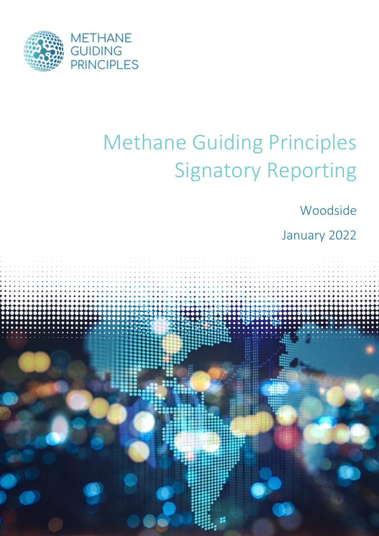

# Methane Guiding Principles Signatory Reporting

Woodside

January 2022

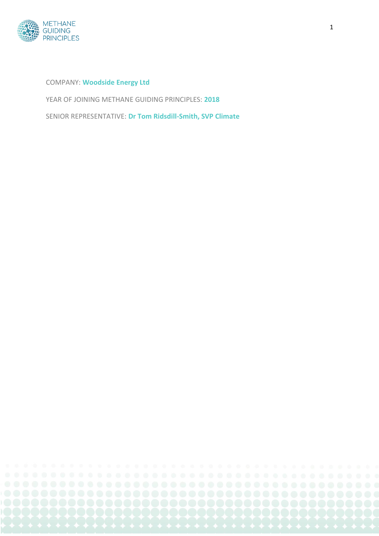

COMPANY: **Woodside Energy Ltd**

YEAR OF JOINING METHANE GUIDING PRINCIPLES: **2018**

SENIOR REPRESENTATIVE: **Dr Tom Ridsdill-Smith, SVP Climate**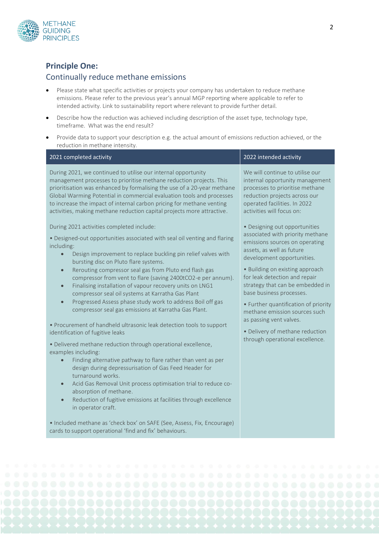

### **Principle One:**

#### Continually reduce methane emissions

- Please state what specific activities or projects your company has undertaken to reduce methane emissions. Please refer to the previous year's annual MGP reporting where applicable to refer to intended activity. Link to sustainability report where relevant to provide further detail.
- Describe how the reduction was achieved including description of the asset type, technology type, timeframe. What was the end result?
- Provide data to support your description e.g. the actual amount of emissions reduction achieved, or the reduction in methane intensity.

| We will continue to utilise our<br>During 2021, we continued to utilise our internal opportunity<br>management processes to prioritise methane reduction projects. This<br>internal opportunity management<br>prioritisation was enhanced by formalising the use of a 20-year methane<br>processes to prioritise methane<br>Global Warming Potential in commercial evaluation tools and processes<br>reduction projects across our<br>to increase the impact of internal carbon pricing for methane venting<br>operated facilities. In 2022<br>activities will focus on:<br>activities, making methane reduction capital projects more attractive.<br>During 2021 activities completed include:<br>• Designing out opportunities<br>associated with priority methane<br>· Designed-out opportunities associated with seal oil venting and flaring<br>emissions sources on operating<br>including:<br>assets, as well as future<br>Design improvement to replace buckling pin relief valves with<br>$\bullet$<br>development opportunities.<br>bursting disc on Pluto flare systems.<br>• Building on existing approach<br>Rerouting compressor seal gas from Pluto end flash gas<br>$\bullet$<br>for leak detection and repair<br>compressor from vent to flare (saving 2400tCO2-e per annum).<br>strategy that can be embedded in<br>Finalising installation of vapour recovery units on LNG1<br>base business processes.<br>compressor seal oil systems at Karratha Gas Plant<br>Progressed Assess phase study work to address Boil off gas<br>$\bullet$<br>• Further quantification of priority<br>compressor seal gas emissions at Karratha Gas Plant.<br>methane emission sources such<br>as passing vent valves.<br>• Procurement of handheld ultrasonic leak detection tools to support<br>· Delivery of methane reduction<br>identification of fugitive leaks<br>through operational excellence.<br>· Delivered methane reduction through operational excellence,<br>examples including:<br>Finding alternative pathway to flare rather than vent as per<br>$\bullet$<br>design during depressurisation of Gas Feed Header for<br>turnaround works.<br>Acid Gas Removal Unit process optimisation trial to reduce co-<br>$\bullet$<br>absorption of methane.<br>Reduction of fugitive emissions at facilities through excellence<br>$\bullet$<br>in operator craft.<br>· Included methane as 'check box' on SAFE (See, Assess, Fix, Encourage) | cards to support operational 'find and fix' behaviours. | 2021 completed activity | 2022 intended activity |
|--------------------------------------------------------------------------------------------------------------------------------------------------------------------------------------------------------------------------------------------------------------------------------------------------------------------------------------------------------------------------------------------------------------------------------------------------------------------------------------------------------------------------------------------------------------------------------------------------------------------------------------------------------------------------------------------------------------------------------------------------------------------------------------------------------------------------------------------------------------------------------------------------------------------------------------------------------------------------------------------------------------------------------------------------------------------------------------------------------------------------------------------------------------------------------------------------------------------------------------------------------------------------------------------------------------------------------------------------------------------------------------------------------------------------------------------------------------------------------------------------------------------------------------------------------------------------------------------------------------------------------------------------------------------------------------------------------------------------------------------------------------------------------------------------------------------------------------------------------------------------------------------------------------------------------------------------------------------------------------------------------------------------------------------------------------------------------------------------------------------------------------------------------------------------------------------------------------------------------------------------------------------------------------------------------------------------------------------------------------------------------------------------------------------------------------------------------|---------------------------------------------------------|-------------------------|------------------------|
|                                                                                                                                                                                                                                                                                                                                                                                                                                                                                                                                                                                                                                                                                                                                                                                                                                                                                                                                                                                                                                                                                                                                                                                                                                                                                                                                                                                                                                                                                                                                                                                                                                                                                                                                                                                                                                                                                                                                                                                                                                                                                                                                                                                                                                                                                                                                                                                                                                                        |                                                         |                         |                        |
|                                                                                                                                                                                                                                                                                                                                                                                                                                                                                                                                                                                                                                                                                                                                                                                                                                                                                                                                                                                                                                                                                                                                                                                                                                                                                                                                                                                                                                                                                                                                                                                                                                                                                                                                                                                                                                                                                                                                                                                                                                                                                                                                                                                                                                                                                                                                                                                                                                                        |                                                         |                         |                        |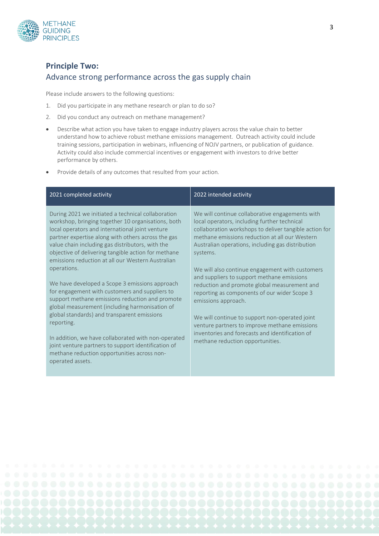

## **Principle Two:**  Advance strong performance across the gas supply chain

Please include answers to the following questions:

- 1. Did you participate in any methane research or plan to do so?
- 2. Did you conduct any outreach on methane management?
- Describe what action you have taken to engage industry players across the value chain to better understand how to achieve robust methane emissions management. Outreach activity could include training sessions, participation in webinars, influencing of NOJV partners, or publication of guidance. Activity could also include commercial incentives or engagement with investors to drive better performance by others.
- Provide details of any outcomes that resulted from your action.

| During 2021 we initiated a technical collaboration<br>workshop, bringing together 10 organisations, both<br>local operators and international joint venture<br>partner expertise along with others across the gas<br>value chain including gas distributors, with the<br>objective of delivering tangible action for methane<br>systems.<br>emissions reduction at all our Western Australian<br>operations.<br>We have developed a Scope 3 emissions approach<br>for engagement with customers and suppliers to<br>support methane emissions reduction and promote<br>global measurement (including harmonisation of<br>global standards) and transparent emissions<br>reporting.<br>In addition, we have collaborated with non-operated<br>joint venture partners to support identification of<br>methane reduction opportunities across non-<br>operated assets. | We will continue collaborative engagements with<br>local operators, including further technical<br>collaboration workshops to deliver tangible action for<br>methane emissions reduction at all our Western<br>Australian operations, including gas distribution<br>We will also continue engagement with customers<br>and suppliers to support methane emissions<br>reduction and promote global measurement and<br>reporting as components of our wider Scope 3<br>emissions approach.<br>We will continue to support non-operated joint<br>venture partners to improve methane emissions<br>inventories and forecasts and identification of<br>methane reduction opportunities. |
|---------------------------------------------------------------------------------------------------------------------------------------------------------------------------------------------------------------------------------------------------------------------------------------------------------------------------------------------------------------------------------------------------------------------------------------------------------------------------------------------------------------------------------------------------------------------------------------------------------------------------------------------------------------------------------------------------------------------------------------------------------------------------------------------------------------------------------------------------------------------|------------------------------------------------------------------------------------------------------------------------------------------------------------------------------------------------------------------------------------------------------------------------------------------------------------------------------------------------------------------------------------------------------------------------------------------------------------------------------------------------------------------------------------------------------------------------------------------------------------------------------------------------------------------------------------|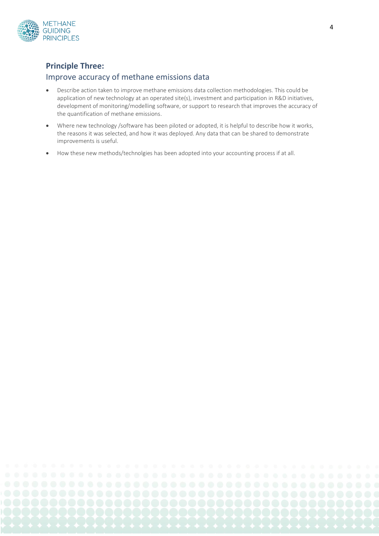

### **Principle Three:**

#### Improve accuracy of methane emissions data

- Describe action taken to improve methane emissions data collection methodologies. This could be application of new technology at an operated site(s), investment and participation in R&D initiatives, development of monitoring/modelling software, or support to research that improves the accuracy of the quantification of methane emissions.
- Where new technology /software has been piloted or adopted, it is helpful to describe how it works, the reasons it was selected, and how it was deployed. Any data that can be shared to demonstrate improvements is useful.
- How these new methods/technolgies has been adopted into your accounting process if at all.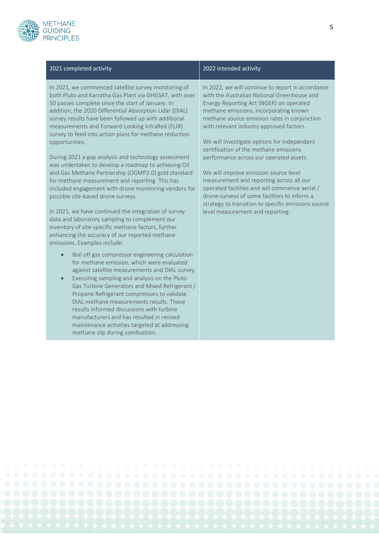

| 2021 completed activity                                                                                                                                                                                                                                                                                                                                                                                                                                                                                                                                                                                                                                                                                                                                                                                                                                                                                                                                                                                                                                                                                                                                                                                                                                                                                                                                                                                                                                                                                                                         | 2022 intended activity                                                                                                                                                                                                                                                                                                                                                                                                                                                                                                                                                                                                                                                                                  |
|-------------------------------------------------------------------------------------------------------------------------------------------------------------------------------------------------------------------------------------------------------------------------------------------------------------------------------------------------------------------------------------------------------------------------------------------------------------------------------------------------------------------------------------------------------------------------------------------------------------------------------------------------------------------------------------------------------------------------------------------------------------------------------------------------------------------------------------------------------------------------------------------------------------------------------------------------------------------------------------------------------------------------------------------------------------------------------------------------------------------------------------------------------------------------------------------------------------------------------------------------------------------------------------------------------------------------------------------------------------------------------------------------------------------------------------------------------------------------------------------------------------------------------------------------|---------------------------------------------------------------------------------------------------------------------------------------------------------------------------------------------------------------------------------------------------------------------------------------------------------------------------------------------------------------------------------------------------------------------------------------------------------------------------------------------------------------------------------------------------------------------------------------------------------------------------------------------------------------------------------------------------------|
| In 2021, we commenced satellite survey monitoring of<br>both Pluto and Karratha Gas Plant via GHGSAT, with over<br>50 passes complete since the start of January. In<br>addition, the 2020 Differential Absorption Lidar (DIAL)<br>survey results have been followed up with additional<br>measurements and Forward-Looking InfraRed (FLIR)<br>survey to feed into action plans for methane reduction<br>opportunities.<br>During 2021 a gap analysis and technology assessment<br>was undertaken to develop a roadmap to achieving Oil<br>and Gas Methane Partnership (OGMP2.0) gold standard<br>for methane measurement and reporting. This has<br>included engagement with drone monitoring vendors for<br>possible site-based drone surveys.<br>In 2021, we have continued the integration of survey<br>data and laboratory sampling to complement our<br>inventory of site-specific methane factors, further<br>enhancing the accuracy of our reported methane<br>emissions. Examples include:<br>Boil off gas compressor engineering calculation<br>for methane emission, which were evaluated<br>against satellite measurements and DIAL survey.<br>Executing sampling and analysis on the Pluto<br>$\bullet$<br>Gas Turbine Generators and Mixed Refrigerant /<br>Propane Refrigerant compressors to validate<br>DIAL methane measurements results. These<br>results informed discussions with turbine<br>manufacturers and has resulted in revised<br>maintenance activities targeted at addressing<br>methane slip during combustion. | In 2022, we will continue to report in accordance<br>with the Australian National Greenhouse and<br>Energy Reporting Act (NGER) on operated<br>methane emissions, incorporating known<br>methane source emission rates in conjunction<br>with relevant industry approved factors.<br>We will investigate options for independent<br>certification of the methane emissions<br>performance across our operated assets.<br>We will improve emission source level<br>measurement and reporting across all our<br>operated facilities and will commence aerial /<br>drone surveys of some facilities to inform a<br>strategy to transition to specific emissions source<br>level measurement and reporting. |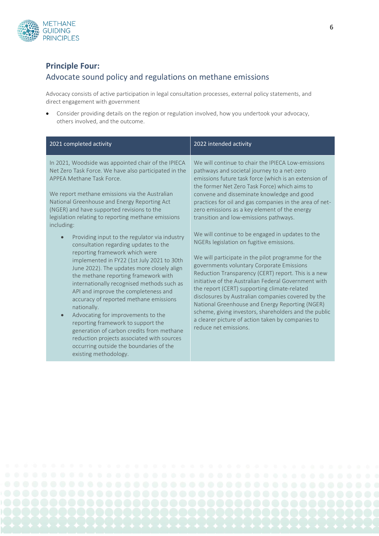

#### **Principle Four:**

#### Advocate sound policy and regulations on methane emissions

Advocacy consists of active participation in legal consultation processes, external policy statements, and direct engagement with government

• Consider providing details on the region or regulation involved, how you undertook your advocacy, others involved, and the outcome.

| 2021 completed activity                                                                                                                                                                                                                                                                                                                                                                                                                                                                                                                                                                                                                                                                                                                                                                                                                                                                                                                                                                                                  | 2022 intended activity                                                                                                                                                                                                                                                                                                                                                                                                                                                                                                                                                                                                                                                                                                                                                                                                                                                                                                                                                                                                            |
|--------------------------------------------------------------------------------------------------------------------------------------------------------------------------------------------------------------------------------------------------------------------------------------------------------------------------------------------------------------------------------------------------------------------------------------------------------------------------------------------------------------------------------------------------------------------------------------------------------------------------------------------------------------------------------------------------------------------------------------------------------------------------------------------------------------------------------------------------------------------------------------------------------------------------------------------------------------------------------------------------------------------------|-----------------------------------------------------------------------------------------------------------------------------------------------------------------------------------------------------------------------------------------------------------------------------------------------------------------------------------------------------------------------------------------------------------------------------------------------------------------------------------------------------------------------------------------------------------------------------------------------------------------------------------------------------------------------------------------------------------------------------------------------------------------------------------------------------------------------------------------------------------------------------------------------------------------------------------------------------------------------------------------------------------------------------------|
| In 2021, Woodside was appointed chair of the IPIECA<br>Net Zero Task Force. We have also participated in the<br>APPEA Methane Task Force.<br>We report methane emissions via the Australian<br>National Greenhouse and Energy Reporting Act<br>(NGER) and have supported revisions to the<br>legislation relating to reporting methane emissions<br>including:<br>Providing input to the regulator via industry<br>consultation regarding updates to the<br>reporting framework which were<br>implemented in FY22 (1st July 2021 to 30th<br>June 2022). The updates more closely align<br>the methane reporting framework with<br>internationally recognised methods such as<br>API and improve the completeness and<br>accuracy of reported methane emissions<br>nationally.<br>Advocating for improvements to the<br>reporting framework to support the<br>generation of carbon credits from methane<br>reduction projects associated with sources<br>occurring outside the boundaries of the<br>existing methodology. | We will continue to chair the IPIECA Low-emissions<br>pathways and societal journey to a net-zero<br>emissions future task force (which is an extension of<br>the former Net Zero Task Force) which aims to<br>convene and disseminate knowledge and good<br>practices for oil and gas companies in the area of net-<br>zero emissions as a key element of the energy<br>transition and low-emissions pathways.<br>We will continue to be engaged in updates to the<br>NGERs legislation on fugitive emissions.<br>We will participate in the pilot programme for the<br>governments voluntary Corporate Emissions<br>Reduction Transparency (CERT) report. This is a new<br>initiative of the Australian Federal Government with<br>the report (CERT) supporting climate-related<br>disclosures by Australian companies covered by the<br>National Greenhouse and Energy Reporting (NGER)<br>scheme, giving investors, shareholders and the public<br>a clearer picture of action taken by companies to<br>reduce net emissions. |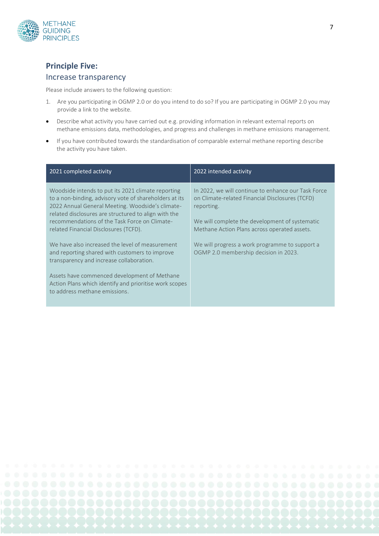

## **Principle Five:**

#### Increase transparency

Please include answers to the following question:

- 1. Are you participating in OGMP 2.0 or do you intend to do so? If you are participating in OGMP 2.0 you may provide a link to the website.
- Describe what activity you have carried out e.g. providing information in relevant external reports on methane emissions data, methodologies, and progress and challenges in methane emissions management.
- If you have contributed towards the standardisation of comparable external methane reporting describe the activity you have taken.

| 2021 completed activity                                                                                                                                                                                                                                                                                            | 2022 intended activity                                                                                                                                                                                                 |
|--------------------------------------------------------------------------------------------------------------------------------------------------------------------------------------------------------------------------------------------------------------------------------------------------------------------|------------------------------------------------------------------------------------------------------------------------------------------------------------------------------------------------------------------------|
| Woodside intends to put its 2021 climate reporting<br>to a non-binding, advisory vote of shareholders at its<br>2022 Annual General Meeting. Woodside's climate-<br>related disclosures are structured to align with the<br>recommendations of the Task Force on Climate-<br>related Financial Disclosures (TCFD). | In 2022, we will continue to enhance our Task Force<br>on Climate-related Financial Disclosures (TCFD)<br>reporting.<br>We will complete the development of systematic<br>Methane Action Plans across operated assets. |
| We have also increased the level of measurement<br>and reporting shared with customers to improve<br>transparency and increase collaboration.<br>Assets have commenced development of Methane<br>Action Plans which identify and prioritise work scopes<br>to address methane emissions.                           | We will progress a work programme to support a<br>OGMP 2.0 membership decision in 2023.                                                                                                                                |